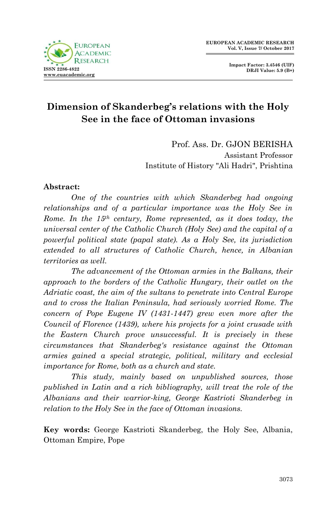

**Impact Factor: 3.4546 (UIF) DRJI Value: 5.9 (B+)**

## **Dimension of Skanderbeg's relations with the Holy See in the face of Ottoman invasions**

Prof. Ass. Dr. GJON BERISHA Assistant Professor Institute of History "Ali Hadri", Prishtina

## **Abstract:**

*One of the countries with which Skanderbeg had ongoing relationships and of a particular importance was the Holy See in Rome. In the 15th century, Rome represented, as it does today, the universal center of the Catholic Church (Holy See) and the capital of a powerful political state (papal state). As a Holy See, its jurisdiction extended to all structures of Catholic Church, hence, in Albanian territories as well.*

*The advancement of the Ottoman armies in the Balkans, their approach to the borders of the Catholic Hungary, their outlet on the Adriatic coast, the aim of the sultans to penetrate into Central Europe and to cross the Italian Peninsula, had seriously worried Rome. The concern of Pope Eugene IV (1431-1447) grew even more after the Council of Florence (1439), where his projects for a joint crusade with the Eastern Church prove unsuccessful. It is precisely in these circumstances that Skanderbeg's resistance against the Ottoman armies gained a special strategic, political, military and ecclesial importance for Rome, both as a church and state.*

*This study, mainly based on unpublished sources, those published in Latin and a rich bibliography, will treat the role of the Albanians and their warrior-king, George Kastrioti Skanderbeg in relation to the Holy See in the face of Ottoman invasions.*

**Key words:** George Kastrioti Skanderbeg, the Holy See, Albania, Ottoman Empire, Pope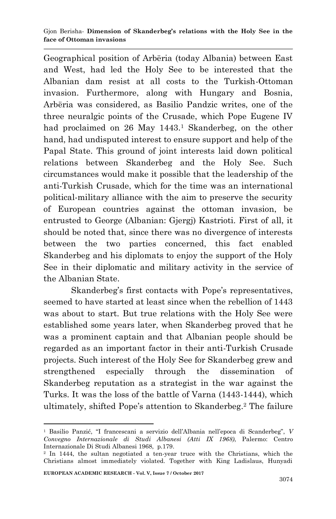Geographical position of Arbëria (today Albania) between East and West, had led the Holy See to be interested that the Albanian dam resist at all costs to the Turkish-Ottoman invasion. Furthermore, along with Hungary and Bosnia, Arbëria was considered, as Basilio Pandzic writes, one of the three neuralgic points of the Crusade, which Pope Eugene IV had proclaimed on 26 May 1443.<sup>1</sup> Skanderbeg, on the other hand, had undisputed interest to ensure support and help of the Papal State. This ground of joint interests laid down political relations between Skanderbeg and the Holy See. Such circumstances would make it possible that the leadership of the anti-Turkish Crusade, which for the time was an international political-military alliance with the aim to preserve the security of European countries against the ottoman invasion, be entrusted to George (Albanian: Gjergj) Kastrioti. First of all, it should be noted that, since there was no divergence of interests between the two parties concerned, this fact enabled Skanderbeg and his diplomats to enjoy the support of the Holy See in their diplomatic and military activity in the service of the Albanian State.

Skanderbeg's first contacts with Pope's representatives, seemed to have started at least since when the rebellion of 1443 was about to start. But true relations with the Holy See were established some years later, when Skanderbeg proved that he was a prominent captain and that Albanian people should be regarded as an important factor in their anti-Turkish Crusade projects. Such interest of the Holy See for Skanderbeg grew and strengthened especially through the dissemination of Skanderbeg reputation as a strategist in the war against the Turks. It was the loss of the battle of Varna (1443-1444), which ultimately, shifted Pope's attention to Skanderbeg.<sup>2</sup> The failure

<sup>1</sup> Basilio Panzić, "I francescani a servizio dell'Albania nell'epoca di Scanderbeg", *V Convegno Internazionale di Studi Albanesi (Atti IX 1968)*, Palermo: Centro Internazionale Di Studi Albanesi 1968, p.179.

<sup>2</sup> In 1444, the sultan negotiated a ten-year truce with the Christians, which the Christians almost immediately violated. Together with King Ladislaus, Hunyadi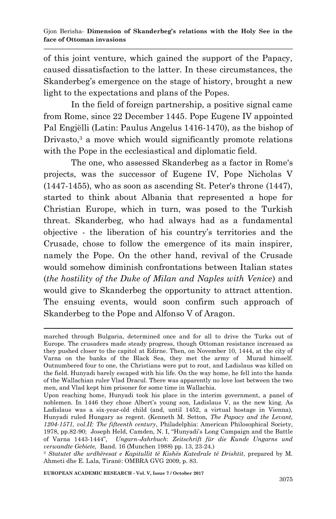of this joint venture, which gained the support of the Papacy, caused dissatisfaction to the latter. In these circumstances, the Skanderbeg's emergence on the stage of history, brought a new light to the expectations and plans of the Popes.

In the field of foreign partnership, a positive signal came from Rome, since 22 December 1445. Pope Eugene IV appointed Pal Engjëlli (Latin: Paulus Angelus 1416-1470), as the bishop of Drivasto,<sup>3</sup> a move which would significantly promote relations with the Pope in the ecclesiastical and diplomatic field.

The one, who assessed Skanderbeg as a factor in Rome's projects, was the successor of Eugene IV, Pope Nicholas V (1447-1455), who as soon as ascending St. Peter's throne (1447), started to think about Albania that represented a hope for Christian Europe, which in turn, was posed to the Turkish threat. Skanderbeg, who had always had as a fundamental objective - the liberation of his country's territories and the Crusade, chose to follow the emergence of its main inspirer, namely the Pope. On the other hand, revival of the Crusade would somehow diminish confrontations between Italian states (*the hostility of the Duke of Milan and Naples with Venice*) and would give to Skanderbeg the opportunity to attract attention. The ensuing events, would soon confirm such approach of Skanderbeg to the Pope and Alfonso V of Aragon.

**EUROPEAN ACADEMIC RESEARCH - Vol. V, Issue 7 / October 2017**

<sup>1</sup> marched through Bulgaria, determined once and for all to drive the Turks out of Europe. The crusaders made steady progress, though Ottoman resistance increased as they pushed closer to the capitol at Edirne. Then, on November 10, 1444, at the city of Varna on the banks of the Black Sea, they met the army of Murad himself. Outnumbered four to one, the Christians were put to rout, and Ladislaus was killed on the field. Hunyadi barely escaped with his life. On the way home, he fell into the hands of the Wallachian ruler Vlad Dracul. There was apparently no love lost between the two men, and Vlad kept him prisoner for some time in Wallachia.

Upon reaching home, Hunyadi took his place in the interim government, a panel of noblemen. In 1446 they chose Albert's young son, Ladislaus V, as the new king. As Ladislaus was a six-year-old child (and, until 1452, a virtual hostage in Vienna), Hunyadi ruled Hungary as regent. (Kenneth M. Setton, *The Papacy and the Levant, 1204-1571, vol.II: The fifteenth century*, Philadelphia: American Philosophical Society, 1978, pp.82-90; Joseph Held, Camden, N. I, "Hunyadi's Long Campaign and the Battle of Varna 1443-1444"*, Ungarn-Jahrbuch*: *Zeitschrift für die Kunde Ungarns und verwandte Gebiete,* Band. 16 (Munchen 1988) pp. 13, 23-24.)

<sup>3</sup> *Statutet dhe urdhëresat e Kapitullit të Kishës Katedrale të Drishtit*, prepared by M. Ahmeti dhe E. Lala, Tiranë: OMBRA GVG 2009, p. 83.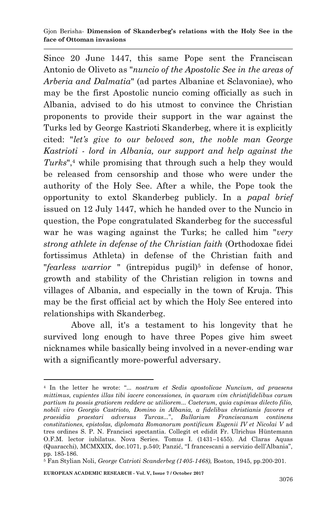Since 20 June 1447, this same Pope sent the Franciscan Antonio de Oliveto as "*nuncio of the Apostolic See in the areas of Arberia and Dalmatia*" (ad partes Albaniae et Sclavoniae), who may be the first Apostolic nuncio coming officially as such in Albania, advised to do his utmost to convince the Christian proponents to provide their support in the war against the Turks led by George Kastrioti Skanderbeg, where it is explicitly cited: "*let's give to our beloved son, the noble man George Kastrioti - lord in Albania, our support and help against the Turks*",<sup>4</sup> while promising that through such a help they would be released from censorship and those who were under the authority of the Holy See. After a while, the Pope took the opportunity to extol Skanderbeg publicly. In a *papal brief* issued on 12 July 1447, which he handed over to the Nuncio in question, the Pope congratulated Skanderbeg for the successful war he was waging against the Turks; he called him "*very strong athlete in defense of the Christian faith* (Orthodoxae fidei fortissimus Athleta) in defense of the Christian faith and "*fearless warrior* " (intrepidus pugil)<sup>5</sup> in defense of honor, growth and stability of the Christian religion in towns and villages of Albania, and especially in the town of Kruja. This may be the first official act by which the Holy See entered into relationships with Skanderbeg.

Above all, it's a testament to his longevity that he survived long enough to have three Popes give him sweet nicknames while basically being involved in a never-ending war with a significantly more-powerful adversary.

<sup>1</sup> <sup>4</sup> In the letter he wrote: "*... nostrum et Sedis apostolicae Nuncium, ad praesens mittimus, cupientes illas tibi iacere concessiones, in quarum vim christifidelibus carum partium tu possis gratiorem reddere ac utiliorem... Caeterum, quia cupimus dilecto filio, nobili viro Georgio Castrioto, Domino in Albania, a fidelibus christianis favores et praesidia praestari adversus Turcas...*", *Bullarium Franciscanum continens constitutiones, epistolas, diplomata Romanorum pontificum Eugenii IV et Nicolai V* ad tres ordines S. P. N. Francisci spectantia. Collegit et edidit Fr. Ulrichus Hüntemann O.F.M. lector iubilatus. Nova Series. Tomus I. (1431–1455). Ad Claras Aquas (Quaracchi), MCMXXIX, doc.1071, p.540; Panzić, "I francescani a servizio dell'Albania", pp. 185-186.

<sup>5</sup> Fan Stylian Noli, *George Catrioti Scanderbeg (1405-1468),* Boston, 1945, pp.200-201.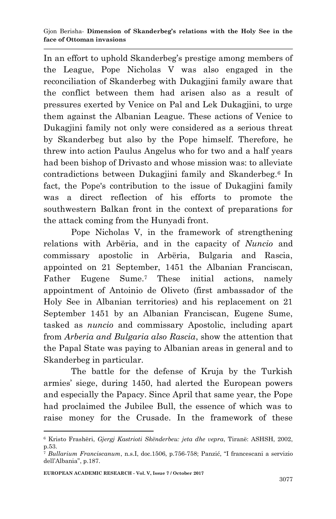In an effort to uphold Skanderbeg's prestige among members of the League, Pope Nicholas V was also engaged in the reconciliation of Skanderbeg with Dukagjini family aware that the conflict between them had arisen also as a result of pressures exerted by Venice on Pal and Lek Dukagjini, to urge them against the Albanian League. These actions of Venice to Dukagjini family not only were considered as a serious threat by Skanderbeg but also by the Pope himself. Therefore, he threw into action Paulus Angelus who for two and a half years had been bishop of Drivasto and whose mission was: to alleviate contradictions between Dukagjini family and Skanderbeg.<sup>6</sup> In fact, the Pope's contribution to the issue of Dukagjini family was a direct reflection of his efforts to promote the southwestern Balkan front in the context of preparations for the attack coming from the Hunyadi front.

Pope Nicholas V, in the framework of strengthening relations with Arbëria, and in the capacity of *Nuncio* and commissary apostolic in Arbëria, Bulgaria and Rascia, appointed on 21 September, 1451 the Albanian Franciscan, Father Eugene Sume.<sup>7</sup> These initial actions, namely appointment of Antoinio de Oliveto (first ambassador of the Holy See in Albanian territories) and his replacement on 21 September 1451 by an Albanian Franciscan, Eugene Sume, tasked as *nuncio* and commissary Apostolic, including apart from *Arberia and Bulgaria also Rascia*, show the attention that the Papal State was paying to Albanian areas in general and to Skanderbeg in particular.

The battle for the defense of Kruja by the Turkish armies' siege, during 1450, had alerted the European powers and especially the Papacy. Since April that same year, the Pope had proclaimed the Jubilee Bull, the essence of which was to raise money for the Crusade. In the framework of these

<sup>6</sup> Kristo Frashëri, *Gjergj Kastrioti Skënderbeu: jeta dhe vepra*, Tiranë: ASHSH, 2002, p.53.

<sup>7</sup> *Bullarium Franciscanum*, n.s.I, doc.1506, p.756-758; Panzić, "I francescani a servizio dell'Albania", p.187.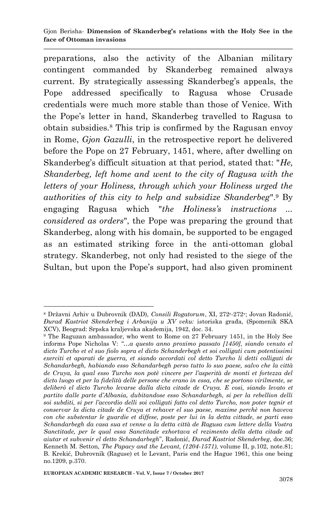## Gjon Berisha*-* **Dimension of Skanderbeg's relations with the Holy See in the face of Ottoman invasions**

preparations, also the activity of the Albanian military contingent commanded by Skanderbeg remained always current. By strategically assessing Skanderbeg's appeals, the Pope addressed specifically to Ragusa whose Crusade credentials were much more stable than those of Venice. With the Pope's letter in hand, Skanderbeg travelled to Ragusa to obtain subsidies.<sup>8</sup> This trip is confirmed by the Ragusan envoy in Rome, *Gjon Gazulli*, in the retrospective report he delivered before the Pope on 27 February, 1451, where, after dwelling on Skanderbeg's difficult situation at that period, stated that: "*He, Skanderbeg, left home and went to the city of Ragusa with the letters of your Holiness, through which your Holiness urged the authorities of this city to help and subsidize Skanderbeg*".<sup>9</sup> By engaging Ragusa which "*the Holiness's instructions ... considered as orders*", the Pope was preparing the ground that Skanderbeg, along with his domain, be supported to be engaged as an estimated striking force in the anti-ottoman global strategy. Skanderbeg, not only had resisted to the siege of the Sultan, but upon the Pope's support, had also given prominent

<sup>1</sup> <sup>8</sup> Državni Arhiv u Dubrovnik (DAD), *Consili Rogatorum*, XI, 272<sup>r</sup>-272<sup>v</sup>; Jovan Radonić, *Đurađ Kastriot Skenderbeg i Arbanija u XV veku:* istoriska građa, (Spomenik SKA XCV), Beograd: Srpska kraljevska akademija, 1942, doc. 34.

<sup>9</sup> The Raguzan ambassador, who went to Rome on 27 February 1451, in the Holy See informs Pope Nicholas V: *"…a questo anno proximo passato [1450], siando venuto el dicto Turcho et el suo fiolo sopra el dicto Schanderbegh et soi colligati cum potentissimi exerciti et aparati de guerra, et siando accordati col detto Turcho li detti colligati de Schandarbegh, habiando esso Schandarbegh perso tutto lo suo paese, salvo che la città de Cruya, la qual esso Turcho non potè vincere per l'asperità de monti et fortezza del dicto luogo et per la fidelità delle persone che erano in essa, che se portono virilmente, se deliberò el dicto Turcho levarse dalla dicta citade de Cruya. E cosi, siando levato et partito dalle parte d'Albania, dubitandose esso Schandarbegh, si per la rebellion delli soi subditi, si per l'accordio delli soi colligati fatto col detto Turcho, non poter tegnir et conservar la dicta citade de Cruya et rehaver el suo paese, maxime perchè non haveva con che substentar le guardie et diffese, poste per lui in la detta cittade, se parti esso Schandarbegh da casa sua et venne a la detta città de Ragusa cum lettere della Vostra Sanctitade, per le qual essa Sanctitade exhortava el rezimento della detta citade ad aiutar et subvenir el detto Schandarbegh*", Radonić, *Đurađ Kastriot Skenderbeg*, doc.36; Kenneth M. Setton, *The Papacy and the Levant, (1204-1571)*, volume II, p.102, note.81; B. Krekić, Dubrovnik (Raguse) et le Levant, Paris end the Hague 1961, this one being no.1209, p.370.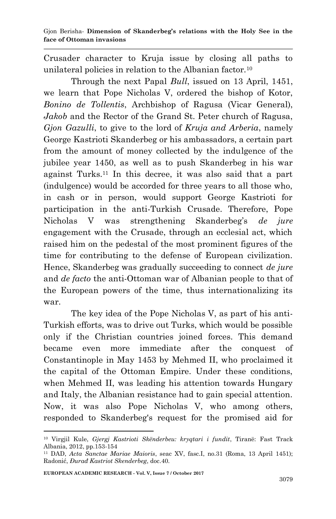Crusader character to Kruja issue by closing all paths to unilateral policies in relation to the Albanian factor.<sup>10</sup>

Through the next Papal *Bull*, issued on 13 April, 1451, we learn that Pope Nicholas V, ordered the bishop of Kotor, *Bonino de Tollentis*, Archbishop of Ragusa (Vicar General), *Jakob* and the Rector of the Grand St. Peter church of Ragusa, *Gjon Gazulli*, to give to the lord of *Kruja and Arberia*, namely George Kastrioti Skanderbeg or his ambassadors, a certain part from the amount of money collected by the indulgence of the jubilee year 1450, as well as to push Skanderbeg in his war against Turks.<sup>11</sup> In this decree, it was also said that a part (indulgence) would be accorded for three years to all those who, in cash or in person, would support George Kastrioti for participation in the anti-Turkish Crusade. Therefore, Pope Nicholas V was strengthening Skanderbeg's *de jure* engagement with the Crusade, through an ecclesial act, which raised him on the pedestal of the most prominent figures of the time for contributing to the defense of European civilization. Hence, Skanderbeg was gradually succeeding to connect *de jure* and *de facto* the anti-Ottoman war of Albanian people to that of the European powers of the time, thus internationalizing its war.

The key idea of the Pope Nicholas V, as part of his anti-Turkish efforts, was to drive out Turks, which would be possible only if the Christian countries joined forces. This demand became even more immediate after the conquest of Constantinople in May 1453 by Mehmed II, who proclaimed it the capital of the Ottoman Empire. Under these conditions, when Mehmed II, was leading his attention towards Hungary and Italy, the Albanian resistance had to gain special attention. Now, it was also Pope Nicholas V, who among others, responded to Skanderbeg's request for the promised aid for

<sup>10</sup> Virgjil Kule, *Gjergj Kastrioti Skënderbeu: kryqtari i fundit*, Tiranë: Fast Track Albania, 2012, pp.153-154

<sup>11</sup> DAD, *Acta Sanctae Mariae Maioris*, seac XV, fasc.I, no.31 (Roma, 13 April 1451); Radonić, *Đurađ Kastriot Skenderbeg*, doc.40.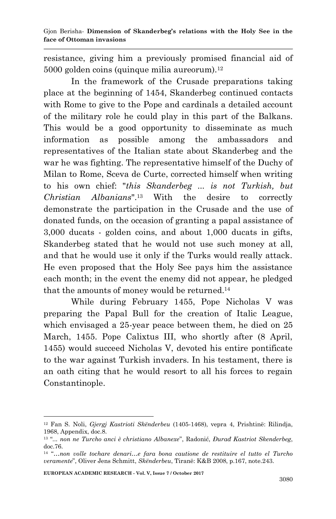resistance, giving him a previously promised financial aid of 5000 golden coins (quinque milia aureorum).<sup>12</sup>

In the framework of the Crusade preparations taking place at the beginning of 1454, Skanderbeg continued contacts with Rome to give to the Pope and cardinals a detailed account of the military role he could play in this part of the Balkans. This would be a good opportunity to disseminate as much information as possible among the ambassadors and representatives of the Italian state about Skanderbeg and the war he was fighting. The representative himself of the Duchy of Milan to Rome, Sceva de Curte, corrected himself when writing to his own chief: "*this Skanderbeg ... is not Turkish, but Christian Albanians*".<sup>13</sup> With the desire to correctly demonstrate the participation in the Crusade and the use of donated funds, on the occasion of granting a papal assistance of 3,000 ducats - golden coins, and about 1,000 ducats in gifts, Skanderbeg stated that he would not use such money at all, and that he would use it only if the Turks would really attack. He even proposed that the Holy See pays him the assistance each month; in the event the enemy did not appear, he pledged that the amounts of money would be returned.<sup>14</sup>

While during February 1455, Pope Nicholas V was preparing the Papal Bull for the creation of Italic League, which envisaged a 25-year peace between them, he died on 25 March, 1455. Pope Calixtus III, who shortly after (8 April, 1455) would succeed Nicholas V, devoted his entire pontificate to the war against Turkish invaders. In his testament, there is an oath citing that he would resort to all his forces to regain Constantinople.

**EUROPEAN ACADEMIC RESEARCH - Vol. V, Issue 7 / October 2017**

<sup>12</sup> Fan S. Noli, *Gjergj Kastrioti Skënderbeu* (1405-1468), vepra 4, Prishtinë: Rilindja, 1968, Appendix, doc.8.

<sup>13</sup> "*... non ne Turcho anci è christiano Albanexe*", Radonić, *Đurađ Kastriot Skenderbeg*, doc.76.

<sup>14</sup> "*…non volle tochare denari…e fara bona cautione de restituire el tutto el Turcho veramente*", Oliver Jens Schmitt, *Skënderbeu*, Tiranë: K&B 2008, p.167, note.243.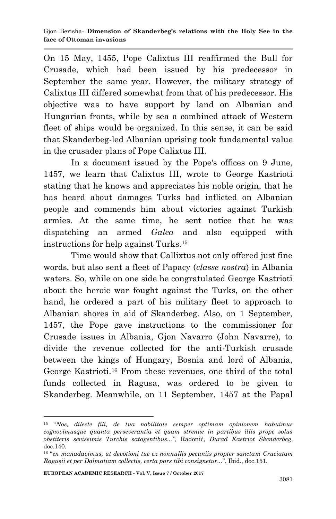On 15 May, 1455, Pope Calixtus III reaffirmed the Bull for Crusade, which had been issued by his predecessor in September the same year. However, the military strategy of Calixtus III differed somewhat from that of his predecessor. His objective was to have support by land on Albanian and Hungarian fronts, while by sea a combined attack of Western fleet of ships would be organized. In this sense, it can be said that Skanderbeg-led Albanian uprising took fundamental value in the crusader plans of Pope Calixtus III.

In a document issued by the Pope's offices on 9 June, 1457, we learn that Calixtus III, wrote to George Kastrioti stating that he knows and appreciates his noble origin, that he has heard about damages Turks had inflicted on Albanian people and commends him about victories against Turkish armies. At the same time, he sent notice that he was dispatching an armed *Galea* and also equipped with instructions for help against Turks.<sup>15</sup>

Time would show that Callixtus not only offered just fine words, but also sent a fleet of Papacy (*classe nostra*) in Albania waters. So, while on one side he congratulated George Kastrioti about the heroic war fought against the Turks, on the other hand, he ordered a part of his military fleet to approach to Albanian shores in aid of Skanderbeg. Also, on 1 September, 1457, the Pope gave instructions to the commissioner for Crusade issues in Albania, Gjon Navarro (John Navarre), to divide the revenue collected for the anti-Turkish crusade between the kings of Hungary, Bosnia and lord of Albania, George Kastrioti.<sup>16</sup> From these revenues, one third of the total funds collected in Ragusa, was ordered to be given to Skanderbeg. Meanwhile, on 11 September, 1457 at the Papal

<sup>1</sup> <sup>15</sup> "*Nos, dilecte fili, de tua nobilitate semper optimam opinionem habuimus cognovimusque quanta perseverantia et quam strenue in partibus illis prope solus obstiteris sevissimis Turchis satagentibus...",* Radonić, *Đurađ Kastriot Skenderbeg*, doc.140.

<sup>16</sup> "*en manadavimus, ut devotioni tue ex nonnullis pecuniis propter sanctam Cruciatam Ragusii et per Dalmatiam collectis, certa pars tibi consignetur...*", Ibid., doc.151.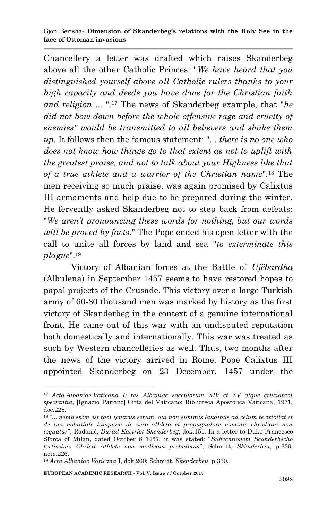Chancellery a letter was drafted which raises Skanderbeg above all the other Catholic Princes: "*We have heard that you distinguished yourself above all Catholic rulers thanks to your high capacity and deeds you have done for the Christian faith and religion* ... ".<sup>17</sup> The news of Skanderbeg example, that "*he did not bow down before the whole offensive rage and cruelty of enemies" would be transmitted to all believers and shake them up.* It follows then the famous statement: "... *there is no one who does not know how things go to that extent as not to uplift with the greatest praise, and not to talk about your Highness like that of a true athlete and a warrior of the Christian name*".<sup>18</sup> The men receiving so much praise, was again promised by Calixtus III armaments and help due to be prepared during the winter. He fervently asked Skanderbeg not to step back from defeats: "*We aren't pronouncing these words for nothing, but our words will be proved by facts*." The Pope ended his open letter with the call to unite all forces by land and sea "*to exterminate this plague*".<sup>19</sup>

Victory of Albanian forces at the Battle of *Ujëbardha* (Albulena) in September 1457 seems to have restored hopes to papal projects of the Crusade. This victory over a large Turkish army of 60-80 thousand men was marked by history as the first victory of Skanderbeg in the context of a genuine international front. He came out of this war with an undisputed reputation both domestically and internationally. This war was treated as such by Western chancelleries as well. Thus, two months after the news of the victory arrived in Rome, Pope Calixtus III appointed Skanderbeg on 23 December, 1457 under the

**EUROPEAN ACADEMIC RESEARCH - Vol. V, Issue 7 / October 2017**

<sup>1</sup> <sup>17</sup> *Acta Albaniae Vaticana I: res Albaniae saeculorum XIV et XV atque cruciatam spectantia*, [Ignazio Parrino] Citta del Vaticano: Biblioteca Apostolica Vaticana, 1971, doc.228.

<sup>18</sup> "*... nemo enim est tam ignarus serum, qui non summis laudibus ad celum te extollat et de tua nobilitate tanquam de vero athleta et propugnatore nominis christiani non loquatur*", Radonić, *Đurađ Kastriot Skenderbeg*, dok.151. In a letter to Duke Francesco Sforca of Milan, dated October 8 1457, it was stated: "*Subventionem Scanderbecho fortissimo Christi Athlete non modicam prebuimus*", Schmitt, *Skënderbeu*, p.330, note.226.

<sup>19</sup> *Acta Albaniae Vaticana* I, dok.260; Schmitt, *Skënderbeu*, p.330.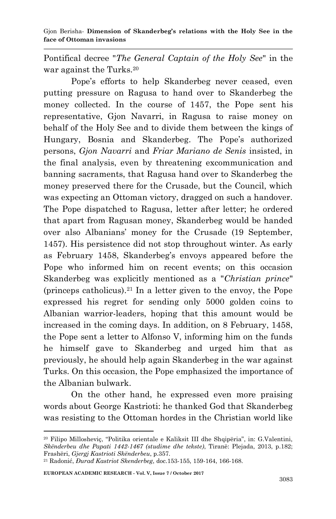Pontifical decree "*The General Captain of the Holy See*" in the war against the Turks.<sup>20</sup>

Pope's efforts to help Skanderbeg never ceased, even putting pressure on Ragusa to hand over to Skanderbeg the money collected. In the course of 1457, the Pope sent his representative, Gjon Navarri, in Ragusa to raise money on behalf of the Holy See and to divide them between the kings of Hungary, Bosnia and Skanderbeg. The Pope's authorized persons, *Gjon Navarri* and *Friar Mariano de Senis* insisted, in the final analysis, even by threatening excommunication and banning sacraments, that Ragusa hand over to Skanderbeg the money preserved there for the Crusade, but the Council, which was expecting an Ottoman victory, dragged on such a handover. The Pope dispatched to Ragusa, letter after letter; he ordered that apart from Ragusan money, Skanderbeg would be handed over also Albanians' money for the Crusade (19 September, 1457). His persistence did not stop throughout winter. As early as February 1458, Skanderbeg's envoys appeared before the Pope who informed him on recent events; on this occasion Skanderbeg was explicitly mentioned as a "*Christian prince*" (princeps catholicus).<sup>21</sup> In a letter given to the envoy, the Pope expressed his regret for sending only 5000 golden coins to Albanian warrior-leaders, hoping that this amount would be increased in the coming days. In addition, on 8 February, 1458, the Pope sent a letter to Alfonso V, informing him on the funds he himself gave to Skanderbeg and urged him that as previously, he should help again Skanderbeg in the war against Turks. On this occasion, the Pope emphasized the importance of the Albanian bulwark.

On the other hand, he expressed even more praising words about George Kastrioti: he thanked God that Skanderbeg was resisting to the Ottoman hordes in the Christian world like

<sup>20</sup> Filipo Millosheviç, "Politika orientale e Kaliksit III dhe Shqipëria", in: G.Valentini, *Skënderbeu dhe Papati 1442-1467 (studime dhe tekste)*, Tiranë: Plejada, 2013, p.182; Frashëri, *Gjergj Kastrioti Skënderbeu*, p.357.

<sup>21</sup> Radonić, *Đurađ Kastriot Skenderbeg*, doc.153-155, 159-164, 166-168.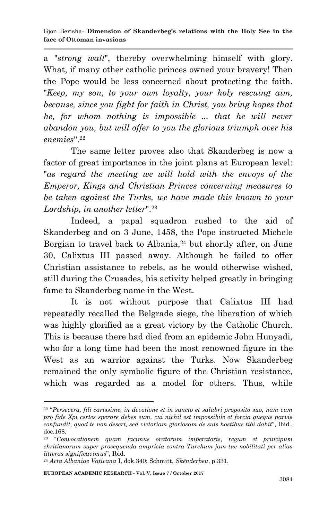a "*strong wall*", thereby overwhelming himself with glory. What, if many other catholic princes owned your bravery! Then the Pope would be less concerned about protecting the faith. "*Keep, my son, to your own loyalty, your holy rescuing aim, because, since you fight for faith in Christ, you bring hopes that he, for whom nothing is impossible ... that he will never abandon you, but will offer to you the glorious triumph over his enemies*". 22

The same letter proves also that Skanderbeg is now a factor of great importance in the joint plans at European level: "*as regard the meeting we will hold with the envoys of the Emperor, Kings and Christian Princes concerning measures to be taken against the Turks, we have made this known to your Lordship, in another letter*".<sup>23</sup>

Indeed, a papal squadron rushed to the aid of Skanderbeg and on 3 June, 1458, the Pope instructed Michele Borgian to travel back to Albania,<sup>24</sup> but shortly after, on June 30, Calixtus III passed away. Although he failed to offer Christian assistance to rebels, as he would otherwise wished, still during the Crusades, his activity helped greatly in bringing fame to Skanderbeg name in the West.

It is not without purpose that Calixtus III had repeatedly recalled the Belgrade siege, the liberation of which was highly glorified as a great victory by the Catholic Church. This is because there had died from an epidemic John Hunyadi, who for a long time had been the most renowned figure in the West as an warrior against the Turks. Now Skanderbeg remained the only symbolic figure of the Christian resistance, which was regarded as a model for others. Thus, while

**EUROPEAN ACADEMIC RESEARCH - Vol. V, Issue 7 / October 2017**

<sup>22</sup> "*Persevera, fili carissime, in devotione et in sancto et salubri proposito suo, nam cum pro fide Xpi certes sperare debes eum, cui nichil est impossibile et forcia queque parvis confundit, quod te non desert, sed victoriam gloriosam de suis hostibus tibi dabit*", Ibid., doc.168.

<sup>23</sup> "*Convocationem quam facimus oratorum imperatoris, regum et principum chritianorum super prosequenda amprisia contra Turchum jam tue nobilitati per alias litteras significavimus*", Ibid.

<sup>24</sup> *Acta Albaniae Vaticana* I, dok.340; Schmitt, *Skënderbeu*, p.331.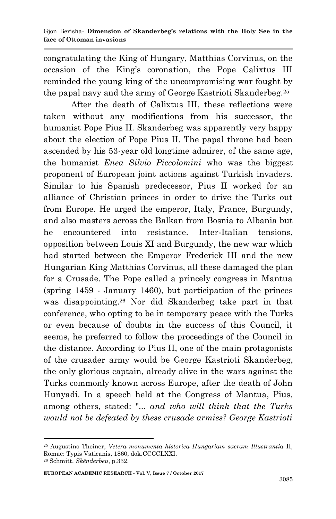congratulating the King of Hungary, Matthias Corvinus, on the occasion of the King's coronation, the Pope Calixtus III reminded the young king of the uncompromising war fought by the papal navy and the army of George Kastrioti Skanderbeg.<sup>25</sup>

After the death of Calixtus III, these reflections were taken without any modifications from his successor, the humanist Pope Pius II. Skanderbeg was apparently very happy about the election of Pope Pius II. The papal throne had been ascended by his 53-year old longtime admirer, of the same age, the humanist *Enea Silvio Piccolomini* who was the biggest proponent of European joint actions against Turkish invaders. Similar to his Spanish predecessor, Pius II worked for an alliance of Christian princes in order to drive the Turks out from Europe. He urged the emperor, Italy, France, Burgundy, and also masters across the Balkan from Bosnia to Albania but he encountered into resistance. Inter-Italian tensions, opposition between Louis XI and Burgundy, the new war which had started between the Emperor Frederick III and the new Hungarian King Matthias Corvinus, all these damaged the plan for a Crusade. The Pope called a princely congress in Mantua (spring 1459 - January 1460), but participation of the princes was disappointing.<sup>26</sup> Nor did Skanderbeg take part in that conference, who opting to be in temporary peace with the Turks or even because of doubts in the success of this Council, it seems, he preferred to follow the proceedings of the Council in the distance. According to Pius II, one of the main protagonists of the crusader army would be George Kastrioti Skanderbeg, the only glorious captain, already alive in the wars against the Turks commonly known across Europe, after the death of John Hunyadi. In a speech held at the Congress of Mantua, Pius, among others, stated: "... *and who will think that the Turks would not be defeated by these crusade armies? George Kastrioti* 

<sup>25</sup> Augustino Theiner, *Vetera monumenta historica Hungariam sacram Illustrantia* II, Romae: Typis Vaticanis, 1860, dok.CCCCLXXI. <sup>26</sup> Schmitt, *Skënderbeu*, p.332.

**EUROPEAN ACADEMIC RESEARCH - Vol. V, Issue 7 / October 2017**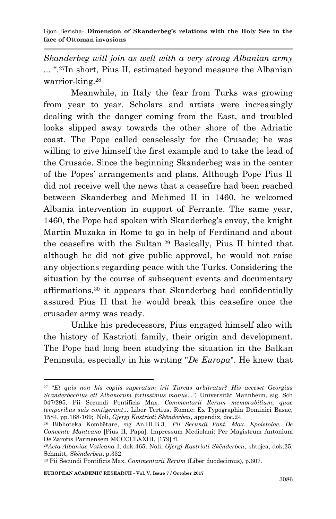*Skanderbeg will join as well with a very strong Albanian army* ... ".27In short, Pius II, estimated beyond measure the Albanian warrior-king.<sup>28</sup>

Meanwhile, in Italy the fear from Turks was growing from year to year. Scholars and artists were increasingly dealing with the danger coming from the East, and troubled looks slipped away towards the other shore of the Adriatic coast. The Pope called ceaselessly for the Crusade; he was willing to give himself the first example and to take the lead of the Crusade. Since the beginning Skanderbeg was in the center of the Popes' arrangements and plans. Although Pope Pius II did not receive well the news that a ceasefire had been reached between Skanderbeg and Mehmed II in 1460, he welcomed Albania intervention in support of Ferrante. The same year, 1460, the Pope had spoken with Skanderbeg's envoy, the knight Martin Muzaka in Rome to go in help of Ferdinand and about the ceasefire with the Sultan.<sup>29</sup> Basically, Pius II hinted that although he did not give public approval, he would not raise any objections regarding peace with the Turks. Considering the situation by the course of subsequent events and documentary affirmations,<sup>30</sup> it appears that Skanderbeg had confidentially assured Pius II that he would break this ceasefire once the crusader army was ready.

Unlike his predecessors, Pius engaged himself also with the history of Kastrioti family, their origin and development. The Pope had long been studying the situation in the Balkan Peninsula, especially in his writing "*De Europa*". He knew that

**EUROPEAN ACADEMIC RESEARCH - Vol. V, Issue 7 / October 2017**

<sup>27</sup> "*Et quis non his copiis superatum irii Turcas arbitratur? His acceset Georgius Scanderbechius ett Albanorum fortissimus manus...",* Universität Mannheim, sig. Sch 047/295, Pii Secundi Pontificis Max. *Commentarii Rerum memorabilium, quae temporibus suis contigerunt*... Liber Tertius, Romae: Ex Typographia Dominici Basae, 1584, pp.168-169; Noli, *Gjergj Kastrioti Skënderbeu*, appendix, doc.24.

<sup>28</sup> Biblioteka Kombëtare, sig An.III.B.3, *Pii Secundi Pont. Max. Epoistolae. De Conventv Mantvano* [Pius II, Papa], Impressum Mediolani: Per Magistrum Antonium De Zarotis Parmensem MCCCCLXXIII, [179] fl.

<sup>29</sup>*Acta Albaniae Vaticana* I, dok.465; Noli, *Gjergj Kastrioti Skënderbeu*, shtojca, dok.25; Schmitt, *Skënderbeu*, p.332

<sup>30</sup> Pii Secundi Pontificis Max. *Commentarii Rerum* (Liber duodecimus), p.607.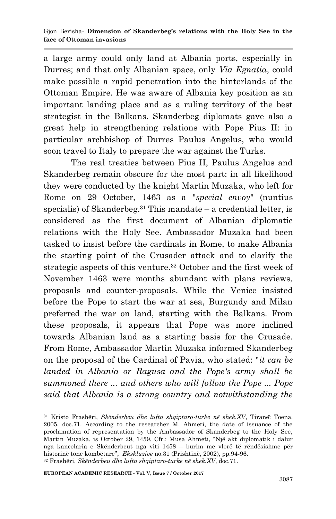a large army could only land at Albania ports, especially in Durres; and that only Albanian space, only *Via Egnatia*, could make possible a rapid penetration into the hinterlands of the Ottoman Empire. He was aware of Albania key position as an important landing place and as a ruling territory of the best strategist in the Balkans. Skanderbeg diplomats gave also a great help in strengthening relations with Pope Pius II: in particular archbishop of Durres Paulus Angelus, who would soon travel to Italy to prepare the war against the Turks.

The real treaties between Pius II, Paulus Angelus and Skanderbeg remain obscure for the most part: in all likelihood they were conducted by the knight Martin Muzaka, who left for Rome on 29 October, 1463 as a "*special envoy*" (nuntius specialis) of Skanderbeg.<sup>31</sup> This mandate  $-$  a credential letter, is considered as the first document of Albanian diplomatic relations with the Holy See. Ambassador Muzaka had been tasked to insist before the cardinals in Rome, to make Albania the starting point of the Crusader attack and to clarify the strategic aspects of this venture.<sup>32</sup> October and the first week of November 1463 were months abundant with plans reviews, proposals and counter-proposals. While the Venice insisted before the Pope to start the war at sea, Burgundy and Milan preferred the war on land, starting with the Balkans. From these proposals, it appears that Pope was more inclined towards Albanian land as a starting basis for the Crusade. From Rome, Ambassador Martin Muzaka informed Skanderbeg on the proposal of the Cardinal of Pavia, who stated: "*it can be landed in Albania or Ragusa and the Pope's army shall be summoned there ... and others who will follow the Pope ... Pope said that Albania is a strong country and notwithstanding the* 

<sup>1</sup> <sup>31</sup> Kristo Frashëri, *Skënderbeu dhe lufta shqiptaro-turke në shek.XV*, Tirane: Toena, 2005, doc.71. According to the researcher M. Ahmeti, the date of issuance of the proclamation of representation by the Ambassador of Skanderbeg to the Holy See, Martin Muzaka, is October 29, 1459. Cfr.: Musa Ahmeti, "Një akt diplomatik i dalur nga kancelaria e Skënderbeut nga viti 1458 – burim me vlerë të rëndësishme për historinë tone kombëtare", *Ekskluzive* no.31 (Prishtinë, 2002), pp.94-96. <sup>32</sup> Frashëri, *Skënderbeu dhe lufta shqiptaro-turke në shek.XV*, doc.71.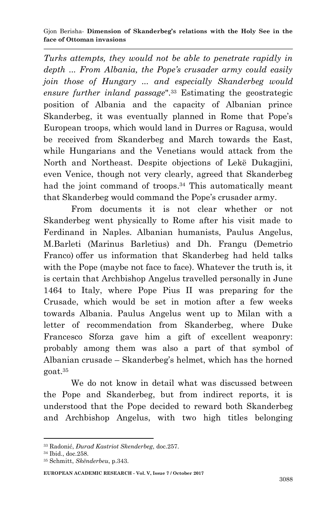*Turks attempts, they would not be able to penetrate rapidly in depth ... From Albania, the Pope's crusader army could easily join those of Hungary ... and especially Skanderbeg would ensure further inland passage*".<sup>33</sup> Estimating the geostrategic position of Albania and the capacity of Albanian prince Skanderbeg, it was eventually planned in Rome that Pope's European troops, which would land in Durres or Ragusa, would be received from Skanderbeg and March towards the East, while Hungarians and the Venetians would attack from the North and Northeast. Despite objections of Lekë Dukagjini, even Venice, though not very clearly, agreed that Skanderbeg had the joint command of troops.<sup>34</sup> This automatically meant that Skanderbeg would command the Pope's crusader army.

From documents it is not clear whether or not Skanderbeg went physically to Rome after his visit made to Ferdinand in Naples. Albanian humanists, Paulus Angelus, M.Barleti (Marinus Barletius) and Dh. Frangu (Demetrio Franco) offer us information that Skanderbeg had held talks with the Pope (maybe not face to face). Whatever the truth is, it is certain that Archbishop Angelus travelled personally in June 1464 to Italy, where Pope Pius II was preparing for the Crusade, which would be set in motion after a few weeks towards Albania. Paulus Angelus went up to Milan with a letter of recommendation from Skanderbeg, where Duke Francesco Sforza gave him a gift of excellent weaponry: probably among them was also a part of that symbol of Albanian crusade – Skanderbeg's helmet, which has the horned goat.<sup>35</sup>

We do not know in detail what was discussed between the Pope and Skanderbeg, but from indirect reports, it is understood that the Pope decided to reward both Skanderbeg and Archbishop Angelus, with two high titles belonging

<sup>33</sup> Radonić, *Đurađ Kastriot Skenderbeg*, doc.257.

<sup>34</sup> Ibid., doc.258.

<sup>35</sup> Schmitt, *Skënderbeu*, p.343.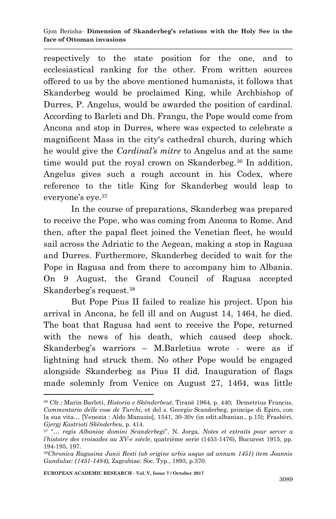respectively to the state position for the one, and to ecclesiastical ranking for the other. From written sources offered to us by the above mentioned humanists, it follows that Skanderbeg would be proclaimed King, while Archbishop of Durres, P. Angelus, would be awarded the position of cardinal. According to Barleti and Dh. Frangu, the Pope would come from Ancona and stop in Durres, where was expected to celebrate a magnificent Mass in the city's cathedral church, during which he would give the *Cardinal's mitre* to Angelus and at the same time would put the royal crown on Skanderbeg.<sup>36</sup> In addition, Angelus gives such a rough account in his Codex, where reference to the title King for Skanderbeg would leap to everyone's eye.<sup>37</sup>

In the course of preparations, Skanderbeg was prepared to receive the Pope, who was coming from Ancona to Rome. And then, after the papal fleet joined the Venetian fleet, he would sail across the Adriatic to the Aegean, making a stop in Ragusa and Durres. Furthermore, Skanderbeg decided to wait for the Pope in Ragusa and from there to accompany him to Albania. On 9 August, the Grand Council of Ragusa accepted Skanderbeg's request.<sup>38</sup>

But Pope Pius II failed to realize his project. Upon his arrival in Ancona, he fell ill and on August 14, 1464, he died. The boat that Ragusa had sent to receive the Pope, returned with the news of his death, which caused deep shock. Skanderbeg's warriors – M.Barletius wrote - were as if lightning had struck them. No other Pope would be engaged alongside Skanderbeg as Pius II did. Inauguration of flags made solemnly from Venice on August 27, 1464, was little

**EUROPEAN ACADEMIC RESEARCH - Vol. V, Issue 7 / October 2017**

<sup>36</sup> Cfr.: Marin Barleti, *Historia e Skënderbeut*, Tiranë 1964, p. 440; Demetrius Francus, *Commentario delle cose de Turchi,* et del s. Georgio Scanderbeg, principe di Epiro, con la sua vita... [Venezia : Aldo Manuzio], 1541, 30-30v (in edit.albanian., p.15); Frashëri, *Gjergj Kastrioti Skënderbeu*, p. 414.

<sup>37</sup> "*… regis Albaniae domini Scanderbegi*", N. Jorga, *Notes et extraits pour server a l'histoire des croisades au XV-e siècle*, quatrième serie (1453-1476), Bucurest 1915, pp. 194-195, 197.

<sup>38</sup>*Chronica Ragusina Junii Resti (ab origine urbis usque ad annum 1451) item Joannis Gundulae: (1451-1484),* Zagrabiae: Soc. Typ., 1893, p.370.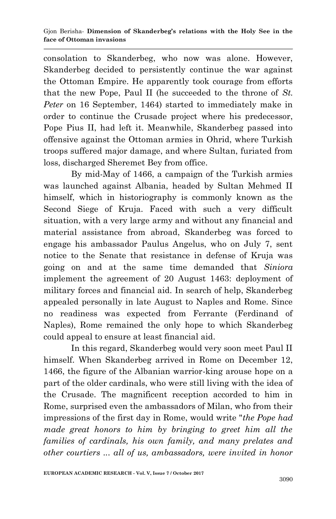consolation to Skanderbeg, who now was alone. However, Skanderbeg decided to persistently continue the war against the Ottoman Empire. He apparently took courage from efforts that the new Pope, Paul II (he succeeded to the throne of *St. Peter* on 16 September, 1464) started to immediately make in order to continue the Crusade project where his predecessor, Pope Pius II, had left it. Meanwhile, Skanderbeg passed into offensive against the Ottoman armies in Ohrid, where Turkish troops suffered major damage, and where Sultan, furiated from loss, discharged Sheremet Bey from office.

By mid-May of 1466, a campaign of the Turkish armies was launched against Albania, headed by Sultan Mehmed II himself, which in historiography is commonly known as the Second Siege of Kruja. Faced with such a very difficult situation, with a very large army and without any financial and material assistance from abroad, Skanderbeg was forced to engage his ambassador Paulus Angelus, who on July 7, sent notice to the Senate that resistance in defense of Kruja was going on and at the same time demanded that *Siniora* implement the agreement of 20 August 1463: deployment of military forces and financial aid. In search of help, Skanderbeg appealed personally in late August to Naples and Rome. Since no readiness was expected from Ferrante (Ferdinand of Naples), Rome remained the only hope to which Skanderbeg could appeal to ensure at least financial aid.

In this regard, Skanderbeg would very soon meet Paul II himself. When Skanderbeg arrived in Rome on December 12, 1466, the figure of the Albanian warrior-king arouse hope on a part of the older cardinals, who were still living with the idea of the Crusade. The magnificent reception accorded to him in Rome, surprised even the ambassadors of Milan, who from their impressions of the first day in Rome, would write "*the Pope had made great honors to him by bringing to greet him all the families of cardinals, his own family, and many prelates and other courtiers ... all of us, ambassadors, were invited in honor*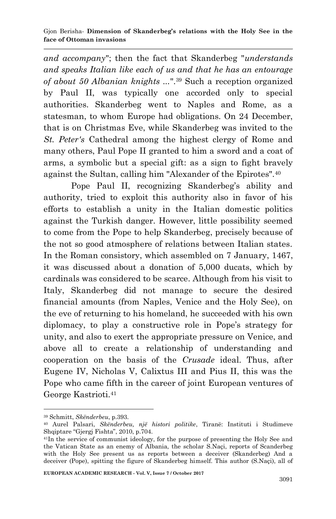*and accompany*"; then the fact that Skanderbeg "*understands and speaks Italian like each of us and that he has an entourage of about 50 Albanian knights ...*".<sup>39</sup> Such a reception organized by Paul II, was typically one accorded only to special authorities. Skanderbeg went to Naples and Rome, as a statesman, to whom Europe had obligations. On 24 December, that is on Christmas Eve, while Skanderbeg was invited to the *St. Peter's* Cathedral among the highest clergy of Rome and many others, Paul Pope II granted to him a sword and a coat of arms, a symbolic but a special gift: as a sign to fight bravely against the Sultan, calling him "Alexander of the Epirotes".<sup>40</sup>

Pope Paul II, recognizing Skanderbeg's ability and authority, tried to exploit this authority also in favor of his efforts to establish a unity in the Italian domestic politics against the Turkish danger. However, little possibility seemed to come from the Pope to help Skanderbeg, precisely because of the not so good atmosphere of relations between Italian states. In the Roman consistory, which assembled on 7 January, 1467, it was discussed about a donation of 5,000 ducats, which by cardinals was considered to be scarce. Although from his visit to Italy, Skanderbeg did not manage to secure the desired financial amounts (from Naples, Venice and the Holy See), on the eve of returning to his homeland, he succeeded with his own diplomacy, to play a constructive role in Pope's strategy for unity, and also to exert the appropriate pressure on Venice, and above all to create a relationship of understanding and cooperation on the basis of the *Crusade* ideal. Thus, after Eugene IV, Nicholas V, Calixtus III and Pius II, this was the Pope who came fifth in the career of joint European ventures of George Kastrioti.<sup>41</sup>

<sup>1</sup> <sup>39</sup> Schmitt, *Skënderbeu*, p.393.

<sup>40</sup> Aurel Palsari, *Skënderbeu, një histori politike*, Tiranë: Instituti i Studimeve Shqiptare "Gjergj Fishta", 2010, p.704.

<sup>41</sup>In the service of communist ideology, for the purpose of presenting the Holy See and the Vatican State as an enemy of Albania, the scholar S.Naçi, reports of Scanderbeg with the Holy See present us as reports between a deceiver (Skanderbeg) And a deceiver (Pope), spitting the figure of Skanderbeg himself. This author (S.Naçi), all of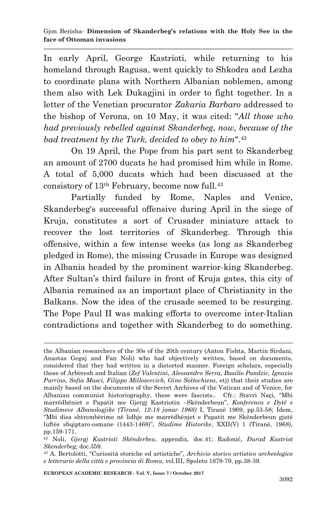In early April, George Kastrioti, while returning to his homeland through Ragusa, went quickly to Shkodra and Lezha to coordinate plans with Northern Albanian noblemen, among them also with Lek Dukagjini in order to fight together. In a letter of the Venetian procurator *Zakaria Barbaro* addressed to the bishop of Verona, on 10 May, it was cited: "*All those who had previously rebelled against Skanderbeg, now, because of the bad treatment by the Turk, decided to obey to him*".<sup>42</sup>

On 19 April, the Pope from his part sent to Skanderbeg an amount of 2700 ducats he had promised him while in Rome. A total of 5,000 ducats which had been discussed at the consistory of 13th February, become now full.<sup>43</sup>

Partially funded by Rome, Naples and Venice, Skanderbeg's successful offensive during April in the siege of Kruja, constitutes a sort of Crusader miniature attack to recover the lost territories of Skanderbeg. Through this offensive, within a few intense weeks (as long as Skanderbeg pledged in Rome), the missing Crusade in Europe was designed in Albania headed by the prominent warrior-king Skanderbeg. After Sultan's third failure in front of Kruja gates, this city of Albania remained as an important place of Christianity in the Balkans. Now the idea of the crusade seemed to be resurging. The Pope Paul II was making efforts to overcome inter-Italian contradictions and together with Skanderbeg to do something.

**EUROPEAN ACADEMIC RESEARCH - Vol. V, Issue 7 / October 2017**

the Albanian researchers of the 30s of the 20th century (Anton Fishta, Martin Sirdani, Anastas Gegaj and Fan Noli) who had objectively written, based on documents, considered that they had written in a distorted manner. Foreign scholars, especially those of Arbëresh and Italian (*Zef Valentini, Alessandro Serra, Basilio Pandzic, Ignazio Parrino, Sofia Masci, Filippo Milloscevich, Gino Sottochiesa*, etj) that their studies are mainly based on the documents of the Secret Archives of the Vatican and of Venice, for Albanian communist historiography, these were fascists.. Cfr.: Stavri Naçi, "Mbi marrëdhëniet e Papatit me Gjergj Kastriotin –Skënderbeun", *Konferenca e Dytë e Studimeve Albanologjike (Tiranë, 12-18 janar 1968)* I, Tiranë 1969, pp.53-58; Idem, "Mbi disa shtrembërime në lidhje me marrëdhënjet e Papatit me Skënderbeun gjatë luftës shqiptaro-osmane (1443-1468)", *Studime Historike*, XXII(V) 1 (Tiranë, 1968), pp.159-171.

<sup>42</sup> Noli, *Gjergj Kastrioti Skënderbeu*, appendix, doc.41; Radonić, *Đurađ Kastriot Skenderbeg,* doc.359.

<sup>43</sup> A. Bertolotti, "Curiosità storiche ed artistiche", *Archivio storico artistico archeologico e letterario della città e provincia di Roma*, vol.III, Spoleto 1878-79, pp.38-39.